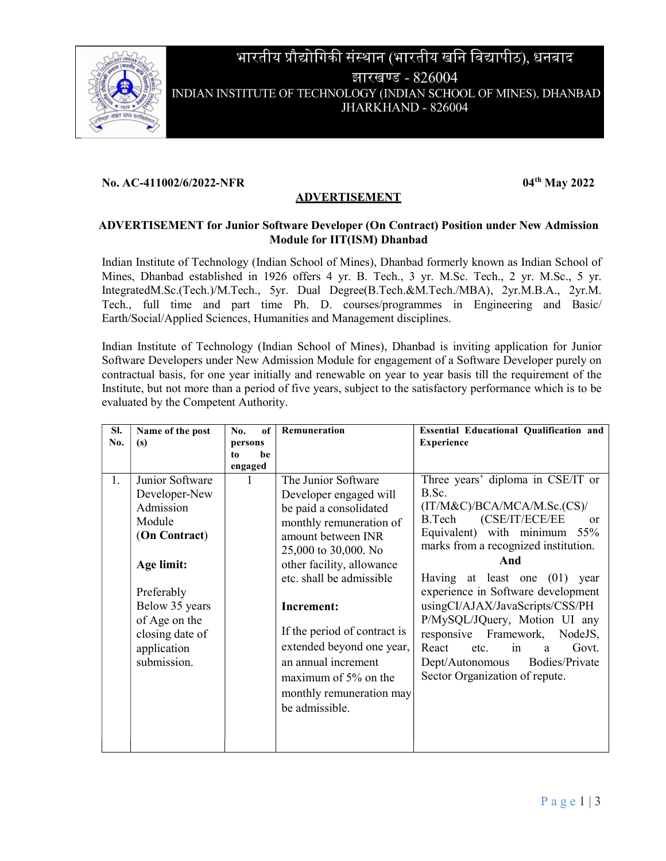

# भारतीय प्रौद्योगिकी संस्थान (भारतीय खनि विद्यापीठ), धनबाद झारखण्ड - 826004 INDIAN INSTITUTE OF TECHNOLOGY (INDIAN SCHOOL OF MINES), DHANBAD JHARKHAND - 826004

#### No. AC-411002/6/2022-NFR 04th May 2022

### ADVERTISEMENT

#### ADVERTISEMENT for Junior Software Developer (On Contract) Position under New Admission Module for IIT(ISM) Dhanbad

Indian Institute of Technology (Indian School of Mines), Dhanbad formerly known as Indian School of Mines, Dhanbad established in 1926 offers 4 yr. B. Tech., 3 yr. M.Sc. Tech., 2 yr. M.Sc., 5 yr. IntegratedM.Sc.(Tech.)/M.Tech., 5yr. Dual Degree(B.Tech.&M.Tech./MBA), 2yr.M.B.A., 2yr.M. Tech., full time and part time Ph. D. courses/programmes in Engineering and Basic/ Earth/Social/Applied Sciences, Humanities and Management disciplines.

Indian Institute of Technology (Indian School of Mines), Dhanbad is inviting application for Junior Software Developers under New Admission Module for engagement of a Software Developer purely on contractual basis, for one year initially and renewable on year to year basis till the requirement of the Institute, but not more than a period of five years, subject to the satisfactory performance which is to be evaluated by the Competent Authority.

| SI. | Name of the post                                                                                                                                                                         | No.           | of | Remuneration                                                                                                                                                                                                                                                                                                                                                                        | <b>Essential Educational Qualification and</b>                                                                                                                                                                                                                                                                                                                                                                                                                                                          |
|-----|------------------------------------------------------------------------------------------------------------------------------------------------------------------------------------------|---------------|----|-------------------------------------------------------------------------------------------------------------------------------------------------------------------------------------------------------------------------------------------------------------------------------------------------------------------------------------------------------------------------------------|---------------------------------------------------------------------------------------------------------------------------------------------------------------------------------------------------------------------------------------------------------------------------------------------------------------------------------------------------------------------------------------------------------------------------------------------------------------------------------------------------------|
| No. | (s)                                                                                                                                                                                      | persons       | be |                                                                                                                                                                                                                                                                                                                                                                                     | <b>Experience</b>                                                                                                                                                                                                                                                                                                                                                                                                                                                                                       |
|     |                                                                                                                                                                                          | to<br>engaged |    |                                                                                                                                                                                                                                                                                                                                                                                     |                                                                                                                                                                                                                                                                                                                                                                                                                                                                                                         |
| 1.  | Junior Software<br>Developer-New<br>Admission<br>Module<br>(On Contract)<br>Age limit:<br>Preferably<br>Below 35 years<br>of Age on the<br>closing date of<br>application<br>submission. | 1             |    | The Junior Software<br>Developer engaged will<br>be paid a consolidated<br>monthly remuneration of<br>amount between INR<br>25,000 to 30,000. No<br>other facility, allowance<br>etc. shall be admissible<br>Increment:<br>If the period of contract is<br>extended beyond one year,<br>an annual increment<br>maximum of $5%$ on the<br>monthly remuneration may<br>be admissible. | Three years' diploma in CSE/IT or<br>B.Sc.<br>(IT/M&C)/BCA/MCA/M.Sc.(CS)/<br>(CSE/IT/ECE/EE<br>B.Tech<br><sub>or</sub><br>Equivalent) with minimum<br>55%<br>marks from a recognized institution.<br>And<br>Having at least one (01) year<br>experience in Software development<br>usingCI/AJAX/JavaScripts/CSS/PH<br>P/MySQL/JQuery, Motion UI any<br>responsive Framework, NodeJS,<br>React<br>etc.<br>in<br>Govt.<br>a<br><b>Bodies/Private</b><br>Dept/Autonomous<br>Sector Organization of repute. |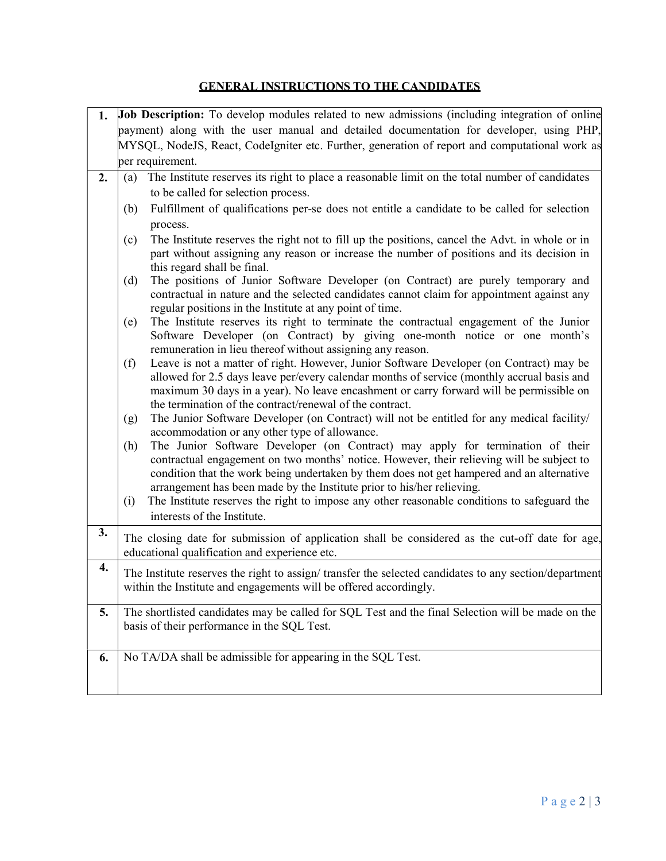## GENERAL INSTRUCTIONS TO THE CANDIDATES

| 1. |                                                                                                                                                                             | Job Description: To develop modules related to new admissions (including integration of online                                                                                                                                                                                                                                                     |  |  |  |  |  |  |
|----|-----------------------------------------------------------------------------------------------------------------------------------------------------------------------------|----------------------------------------------------------------------------------------------------------------------------------------------------------------------------------------------------------------------------------------------------------------------------------------------------------------------------------------------------|--|--|--|--|--|--|
|    | payment) along with the user manual and detailed documentation for developer, using PHP,                                                                                    |                                                                                                                                                                                                                                                                                                                                                    |  |  |  |  |  |  |
|    |                                                                                                                                                                             | MYSQL, NodeJS, React, CodeIgniter etc. Further, generation of report and computational work as                                                                                                                                                                                                                                                     |  |  |  |  |  |  |
|    |                                                                                                                                                                             | per requirement.                                                                                                                                                                                                                                                                                                                                   |  |  |  |  |  |  |
| 2. | (a)                                                                                                                                                                         | The Institute reserves its right to place a reasonable limit on the total number of candidates                                                                                                                                                                                                                                                     |  |  |  |  |  |  |
|    |                                                                                                                                                                             | to be called for selection process.                                                                                                                                                                                                                                                                                                                |  |  |  |  |  |  |
|    | (b)                                                                                                                                                                         | Fulfillment of qualifications per-se does not entitle a candidate to be called for selection                                                                                                                                                                                                                                                       |  |  |  |  |  |  |
|    |                                                                                                                                                                             | process.                                                                                                                                                                                                                                                                                                                                           |  |  |  |  |  |  |
|    | (c)                                                                                                                                                                         | The Institute reserves the right not to fill up the positions, cancel the Advt. in whole or in<br>part without assigning any reason or increase the number of positions and its decision in<br>this regard shall be final.                                                                                                                         |  |  |  |  |  |  |
|    | (d)                                                                                                                                                                         | The positions of Junior Software Developer (on Contract) are purely temporary and<br>contractual in nature and the selected candidates cannot claim for appointment against any<br>regular positions in the Institute at any point of time.                                                                                                        |  |  |  |  |  |  |
|    | (e)                                                                                                                                                                         | The Institute reserves its right to terminate the contractual engagement of the Junior<br>Software Developer (on Contract) by giving one-month notice or one month's<br>remuneration in lieu thereof without assigning any reason.                                                                                                                 |  |  |  |  |  |  |
|    | (f)                                                                                                                                                                         | Leave is not a matter of right. However, Junior Software Developer (on Contract) may be<br>allowed for 2.5 days leave per/every calendar months of service (monthly accrual basis and<br>maximum 30 days in a year). No leave encashment or carry forward will be permissible on<br>the termination of the contract/renewal of the contract.       |  |  |  |  |  |  |
|    | (g)                                                                                                                                                                         | The Junior Software Developer (on Contract) will not be entitled for any medical facility/<br>accommodation or any other type of allowance.                                                                                                                                                                                                        |  |  |  |  |  |  |
|    | (h)                                                                                                                                                                         | The Junior Software Developer (on Contract) may apply for termination of their<br>contractual engagement on two months' notice. However, their relieving will be subject to<br>condition that the work being undertaken by them does not get hampered and an alternative<br>arrangement has been made by the Institute prior to his/her relieving. |  |  |  |  |  |  |
|    | (i)                                                                                                                                                                         | The Institute reserves the right to impose any other reasonable conditions to safeguard the<br>interests of the Institute.                                                                                                                                                                                                                         |  |  |  |  |  |  |
| 3. | The closing date for submission of application shall be considered as the cut-off date for age,<br>educational qualification and experience etc.                            |                                                                                                                                                                                                                                                                                                                                                    |  |  |  |  |  |  |
| 4. | The Institute reserves the right to assign/ transfer the selected candidates to any section/department<br>within the Institute and engagements will be offered accordingly. |                                                                                                                                                                                                                                                                                                                                                    |  |  |  |  |  |  |
| 5. | The shortlisted candidates may be called for SQL Test and the final Selection will be made on the<br>basis of their performance in the SQL Test.                            |                                                                                                                                                                                                                                                                                                                                                    |  |  |  |  |  |  |
| 6. |                                                                                                                                                                             | No TA/DA shall be admissible for appearing in the SQL Test.                                                                                                                                                                                                                                                                                        |  |  |  |  |  |  |